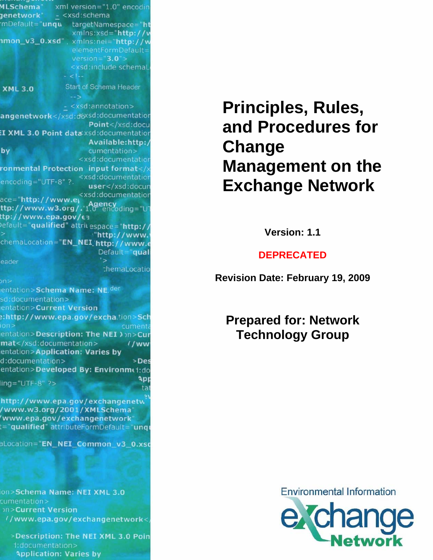|                                          | xml version="1.0" encodin                                                         |
|------------------------------------------|-----------------------------------------------------------------------------------|
| jenetwork"                               | - <xsd:schema< th=""></xsd:schema<>                                               |
|                                          | mDefault="unqu targetNamespace="ht                                                |
|                                          | xmlns:xsd="http://w                                                               |
| imon_v3_0.xsd",                          | xmlns:nei="http://w                                                               |
|                                          | elementFormDefault=                                                               |
|                                          | version= $"3.0">$                                                                 |
|                                          | <xsd:include schemal<="" th=""></xsd:include>                                     |
|                                          | $< 1 - 1$                                                                         |
| <b>XML 3.0</b>                           | <b>Start of Schema Header</b>                                                     |
|                                          | $-5$                                                                              |
|                                          | - <xsd:annotation></xsd:annotation>                                               |
|                                          | angenetwork                                                                       |
|                                          | Point                                                                             |
|                                          | I XML 3.0 Point data xsd: documentation                                           |
|                                          |                                                                                   |
| bv                                       | Available:http:/                                                                  |
|                                          | cumentation><br><xsd:documentation< th=""></xsd:documentation<>                   |
|                                          |                                                                                   |
|                                          | ronmental Protection input format <xsd:documentation< th=""></xsd:documentation<> |
| $encoding="UTE-8"$ ?.                    |                                                                                   |
|                                          | user                                                                              |
| ace="http://www.ey                       | <xsd:documentation< th=""></xsd:documentation<>                                   |
|                                          | ttp://www.w3.org/.'1.0"encoding="UT                                               |
| tp://www.epa.gov/£3                      |                                                                                   |
|                                          | efault="qualified" attrit espace="http://                                         |
|                                          | "http://www.                                                                      |
|                                          | chemaLocation="EN_NEI_'http://www.e                                               |
|                                          |                                                                                   |
|                                          | Default="qual                                                                     |
|                                          | '>                                                                                |
| eader                                    | chemaLocatio                                                                      |
|                                          |                                                                                   |
| n >                                      |                                                                                   |
| entation>Schema Name: NE. <sup>der</sup> |                                                                                   |
| sd:documentation>                        |                                                                                   |
| entation>Current Version                 |                                                                                   |
|                                          | :http://www.epa.gov/excha.tion>Sch                                                |
| on                                       | cumenta                                                                           |
|                                          | entation>Description: The NEI > 2012 Cur                                          |
| mat                                      | $1$ /ww                                                                           |
| entation>Application: Varies by          |                                                                                   |
| d:documentation>                         | $>$ Des                                                                           |
|                                          | entation>Developed By: Environme1:do                                              |
| $ing="UTF-8"$ ?>                         | App                                                                               |
|                                          | tal                                                                               |
|                                          |                                                                                   |
| /www.w3.org/2001/XMLSchema"              | http://www.epa.gov/exchangenetw                                                   |
| www.epa.gov/exchangenetwork"             |                                                                                   |

aLocation="EN\_NEI\_Common\_v3\_0.xso

on>Schema Name: NEI XML 3.0 cumentation> on>Current Version //www.epa.gov/exchangenetwork<

>Description: The NEI XML 3.0 Poin **Application: Varies by** 

# **Principles, Rules, and Procedures for Change Management on the Exchange Network**

**Version: 1.1** 

### **DEPRECATED**

**Revision Date: February 19, 2009** 

**Prepared for: Network Technology Group** 

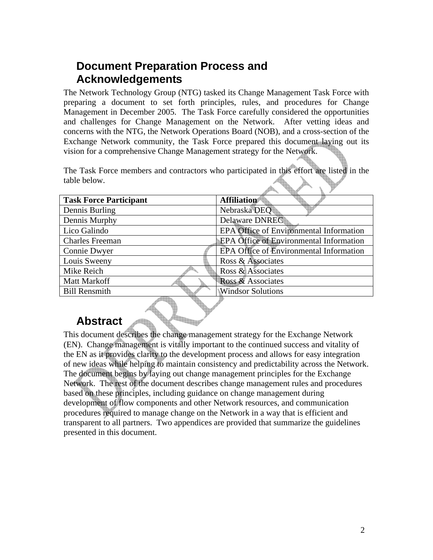# <span id="page-1-0"></span>**Document Preparation Process and Acknowledgements**

The Network Technology Group (NTG) tasked its Change Management Task Force with preparing a document to set forth principles, rules, and procedures for Change Management in December 2005. The Task Force carefully considered the opportunities and challenges for Change Management on the Network. After vetting ideas and concerns with the NTG, the Network Operations Board (NOB), and a cross-section of the Exchange Network community, the Task Force prepared this document laying out its vision for a comprehensive Change Management strategy for the Network.

The Task Force members and contractors who participated in this effort are listed in the table below.

| <b>Task Force Participant</b> | <b>Affiliation</b>                             |
|-------------------------------|------------------------------------------------|
| Dennis Burling                | Nebraska DEQ                                   |
| Dennis Murphy                 | Delaware DNREC                                 |
| Lico Galindo                  | EPA Office of Environmental Information        |
| <b>Charles Freeman</b>        | <b>EPA Office of Environmental Information</b> |
| Connie Dwyer                  | EPA Office of Environmental Information        |
| Louis Sweeny                  | Ross & Associates                              |
| Mike Reich                    | Ross & Associates                              |
| <b>Matt Markoff</b>           | Ross & Associates                              |
| <b>Bill Rensmith</b>          | <b>Windsor Solutions</b>                       |
|                               |                                                |

### **Abstract**

This document describes the change management strategy for the Exchange Network (EN). Change management is vitally important to the continued success and vitality of the EN as it provides clarity to the development process and allows for easy integration of new ideas while helping to maintain consistency and predictability across the Network. The document begins by laying out change management principles for the Exchange Network. The rest of the document describes change management rules and procedures based on these principles, including guidance on change management during development of flow components and other Network resources, and communication procedures required to manage change on the Network in a way that is efficient and transparent to all partners. Two appendices are provided that summarize the guidelines presented in this document.

An 1990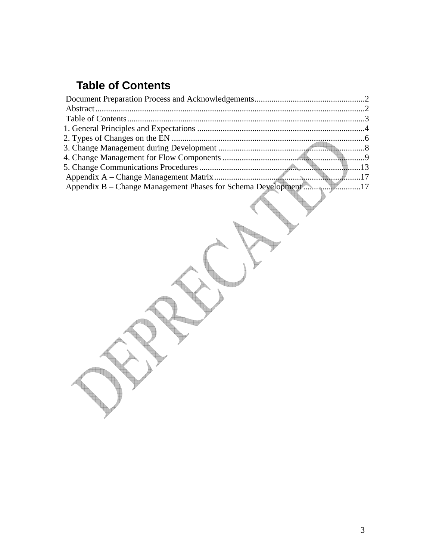# <span id="page-2-0"></span>**Table of Contents**

| Appendix B – Change Management Phases for Schema Development17 |  |
|----------------------------------------------------------------|--|
|                                                                |  |

Tag

الله عليه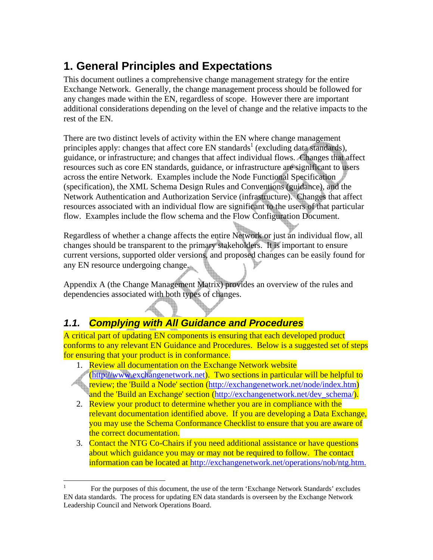# <span id="page-3-0"></span>**1. General Principles and Expectations**

This document outlines a comprehensive change management strategy for the entire Exchange Network. Generally, the change management process should be followed for any changes made within the EN, regardless of scope. However there are important additional considerations depending on the level of change and the relative impacts to the rest of the EN.

There are two distinct levels of activity within the EN where change management principles apply: changes that affect core EN standards<sup>1</sup> (excluding data standards), guidance, or infrastructure; and changes that affect individual flows. Changes that affect resources such as core EN standards, guidance, or infrastructure are significant to users across the entire Network. Examples include the Node Functional Specification (specification), the XML Schema Design Rules and Conventions (guidance), and the Network Authentication and Authorization Service (infrastructure). Changes that affect resources associated with an individual flow are significant to the users of that particular flow. Examples include the flow schema and the Flow Configuration Document.

Regardless of whether a change affects the entire Network or just an individual flow, all changes should be transparent to the primary stakeholders. It is important to ensure current versions, supported older versions, and proposed changes can be easily found for any EN resource undergoing change.

Appendix A (the Change Management Matrix) provides an overview of the rules and dependencies associated with both types of changes.

### *1.1. Complying with All Guidance and Procedures*

A critical part of updating EN components is ensuring that each developed product conforms to any relevant EN Guidance and Procedures. Below is a suggested set of steps for ensuring that your product is in conformance.

- 1. Review all documentation on the Exchange Network website
- ([http://www.exchangenetwork.net\)](http://www.exchangenetwork.net/). Two sections in particular will be helpful to **review; the 'Build a Node' section [\(http://exchangenetwork.net/node/index.htm](http://exchangenetwork.net/node/index.htm))** and the 'Build an Exchange' section (http://exchangenetwork.net/dev\_schema).
- 2. Review your product to determine whether you are in compliance with the relevant documentation identified above. If you are developing a Data Exchange, you may use the Schema Conformance Checklist to ensure that you are aware of the correct documentation.
- 3. Contact the NTG Co-Chairs if you need additional assistance or have questions about which guidance you may or may not be required to follow. The contact information can be located at [http://exchangenetwork.net/operations/nob/ntg.htm.](http://exchangenetwork.net/operations/nob/ntg.htm)

<span id="page-3-1"></span> $\mathbf{1}$ 1 For the purposes of this document, the use of the term 'Exchange Network Standards' excludes EN data standards. The process for updating EN data standards is overseen by the Exchange Network Leadership Council and Network Operations Board.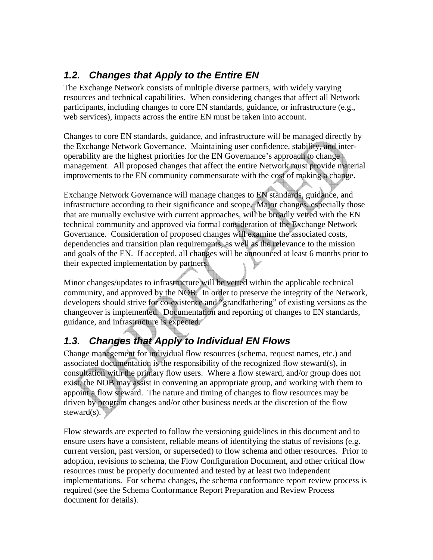### *1.2. Changes that Apply to the Entire EN*

The Exchange Network consists of multiple diverse partners, with widely varying resources and technical capabilities. When considering changes that affect all Network participants, including changes to core EN standards, guidance, or infrastructure (e.g., web services), impacts across the entire EN must be taken into account.

Changes to core EN standards, guidance, and infrastructure will be managed directly by the Exchange Network Governance. Maintaining user confidence, stability, and interoperability are the highest priorities for the EN Governance's approach to change management. All proposed changes that affect the entire Network must provide material improvements to the EN community commensurate with the cost of making a change.

Exchange Network Governance will manage changes to EN standards, guidance, and infrastructure according to their significance and scope. Major changes, especially those that are mutually exclusive with current approaches, will be broadly vetted with the EN technical community and approved via formal consideration of the Exchange Network Governance. Consideration of proposed changes will examine the associated costs, dependencies and transition plan requirements, as well as the relevance to the mission and goals of the EN. If accepted, all changes will be announced at least 6 months prior to their expected implementation by partners.

Minor changes/updates to infrastructure will be vetted within the applicable technical community, and approved by the NOB. In order to preserve the integrity of the Network, developers should strive for co-existence and "grandfathering" of existing versions as the changeover is implemented. Documentation and reporting of changes to EN standards, guidance, and infrastructure is expected.

# *1.3. Changes that Apply to Individual EN Flows*

Change management for individual flow resources (schema, request names, etc.) and associated documentation is the responsibility of the recognized flow steward(s), in consultation with the primary flow users. Where a flow steward, and/or group does not exist, the NOB may assist in convening an appropriate group, and working with them to appoint a flow steward. The nature and timing of changes to flow resources may be driven by program changes and/or other business needs at the discretion of the flow steward $(s)$ .

Flow stewards are expected to follow the versioning guidelines in this document and to ensure users have a consistent, reliable means of identifying the status of revisions (e.g. current version, past version, or superseded) to flow schema and other resources. Prior to adoption, revisions to schema, the Flow Configuration Document, and other critical flow resources must be properly documented and tested by at least two independent implementations. For schema changes, the schema conformance report review process is required (see the Schema Conformance Report Preparation and Review Process document for details).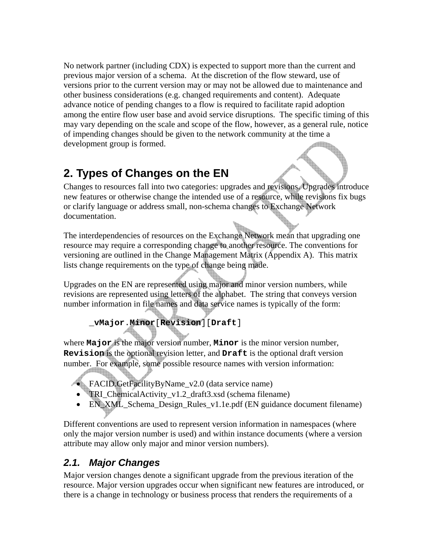<span id="page-5-0"></span>No network partner (including CDX) is expected to support more than the current and previous major version of a schema. At the discretion of the flow steward, use of versions prior to the current version may or may not be allowed due to maintenance and other business considerations (e.g. changed requirements and content). Adequate advance notice of pending changes to a flow is required to facilitate rapid adoption among the entire flow user base and avoid service disruptions. The specific timing of this may vary depending on the scale and scope of the flow, however, as a general rule, notice of impending changes should be given to the network community at the time a development group is formed.

# **2. Types of Changes on the EN**

Changes to resources fall into two categories: upgrades and revisions. Upgrades introduce new features or otherwise change the intended use of a resource, while revisions fix bugs or clarify language or address small, non-schema changes to Exchange Network documentation.

The interdependencies of resources on the Exchange Network mean that upgrading one resource may require a corresponding change to another resource. The conventions for versioning are outlined in the Change Management Matrix (Appendix A). This matrix lists change requirements on the type of change being made.

Upgrades on the EN are represented using major and minor version numbers, while revisions are represented using letters of the alphabet. The string that conveys version number information in file names and data service names is typically of the form:

### **\_vMajor**.**Minor**[**Revision**][**Draft**]

where **Major** is the major version number, **Minor** is the minor version number, **Revision** is the optional revision letter, and **Draft** is the optional draft version number. For example, some possible resource names with version information:

- FACID.GetFacilityByName\_v2.0 (data service name)
	- TRI\_ChemicalActivity\_v1.2\_draft3.xsd (schema filename)
	- EN\_XML\_Schema\_Design\_Rules\_v1.1e.pdf (EN guidance document filename)

Different conventions are used to represent version information in namespaces (where only the major version number is used) and within instance documents (where a version attribute may allow only major and minor version numbers).

### *2.1. Major Changes*

Major version changes denote a significant upgrade from the previous iteration of the resource. Major version upgrades occur when significant new features are introduced, or there is a change in technology or business process that renders the requirements of a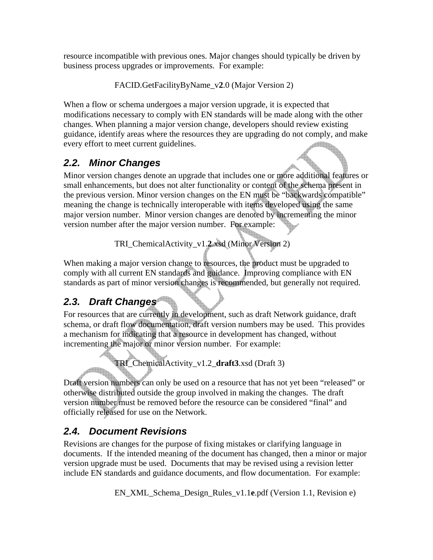resource incompatible with previous ones. Major changes should typically be driven by business process upgrades or improvements. For example:

FACID.GetFacilityByName\_v**2**.0 (Major Version 2)

When a flow or schema undergoes a major version upgrade, it is expected that modifications necessary to comply with EN standards will be made along with the other changes. When planning a major version change, developers should review existing guidance, identify areas where the resources they are upgrading do not comply, and make every effort to meet current guidelines. every effort to meet current guidelines.

# *2.2. Minor Changes*

Minor version changes denote an upgrade that includes one or more additional features or small enhancements, but does not alter functionality or content of the schema present in the previous version. Minor version changes on the EN must be "backwards compatible" meaning the change is technically interoperable with items developed using the same major version number. Minor version changes are denoted by incrementing the minor version number after the major version number. For example:

TRI\_ChemicalActivity\_v1.**2**.xsd (Minor Version 2)

When making a major version change to resources, the product must be upgraded to comply with all current EN standards and guidance. Improving compliance with EN standards as part of minor version changes is recommended, but generally not required.

# *2.3. Draft Changes*

For resources that are currently in development, such as draft Network guidance, draft schema, or draft flow documentation, draft version numbers may be used. This provides a mechanism for indicating that a resource in development has changed, without incrementing the major or minor version number. For example:

TRI\_ChemicalActivity\_v1.2\_**draft3**.xsd (Draft 3)

Draft version numbers can only be used on a resource that has not yet been "released" or otherwise distributed outside the group involved in making the changes. The draft version number must be removed before the resource can be considered "final" and officially released for use on the Network.

# *2.4. Document Revisions*

Revisions are changes for the purpose of fixing mistakes or clarifying language in documents. If the intended meaning of the document has changed, then a minor or major version upgrade must be used. Documents that may be revised using a revision letter include EN standards and guidance documents, and flow documentation. For example:

EN\_XML\_Schema\_Design\_Rules\_v1.1**e**.pdf (Version 1.1, Revision e)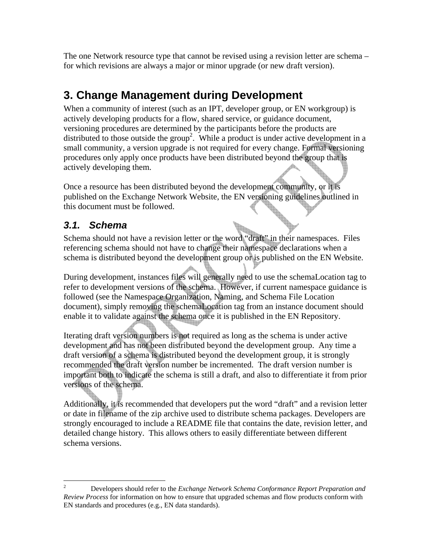<span id="page-7-0"></span>The one Network resource type that cannot be revised using a revision letter are schema – for which revisions are always a major or minor upgrade (or new draft version).

# **3. Change Management during Development**

When a community of interest (such as an IPT, developer group, or EN workgroup) is actively developing products for a flow, shared service, or guidance document, versioning procedures are determined by the participants before the products are distributed to those outside the group<sup>[2](#page-7-1)</sup>. While a product is under active development in a small community, a version upgrade is not required for every change. Formal versioning procedures only apply once products have been distributed beyond the group that is actively developing them.

Once a resource has been distributed beyond the development community, or it is published on the Exchange Network Website, the EN versioning guidelines outlined in this document must be followed.

### *3.1. Schema*

Schema should not have a revision letter or the word "draft" in their namespaces. Files referencing schema should not have to change their namespace declarations when a schema is distributed beyond the development group or is published on the EN Website.

During development, instances files will generally need to use the schemaLocation tag to refer to development versions of the schema. However, if current namespace guidance is followed (see the Namespace Organization, Naming, and Schema File Location document), simply removing the schemaLocation tag from an instance document should enable it to validate against the schema once it is published in the EN Repository.

Iterating draft version numbers is not required as long as the schema is under active development and has not been distributed beyond the development group. Any time a draft version of a schema is distributed beyond the development group, it is strongly recommended the draft version number be incremented. The draft version number is important both to indicate the schema is still a draft, and also to differentiate it from prior versions of the schema.

Additionally, it is recommended that developers put the word "draft" and a revision letter or date in filename of the zip archive used to distribute schema packages. Developers are strongly encouraged to include a README file that contains the date, revision letter, and detailed change history. This allows others to easily differentiate between different schema versions.

<span id="page-7-1"></span> $\overline{c}$ 2 Developers should refer to the *Exchange Network Schema Conformance Report Preparation and Review Process* for information on how to ensure that upgraded schemas and flow products conform with EN standards and procedures (e.g., EN data standards).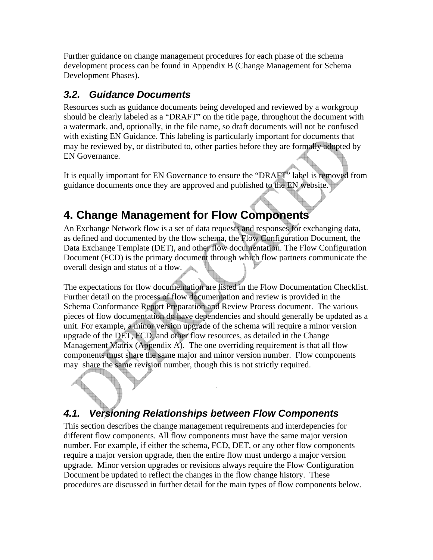<span id="page-8-0"></span>Further guidance on change management procedures for each phase of the schema development process can be found in Appendix B (Change Management for Schema Development Phases).

### *3.2. Guidance Documents*

Resources such as guidance documents being developed and reviewed by a workgroup should be clearly labeled as a "DRAFT" on the title page, throughout the document with a watermark, and, optionally, in the file name, so draft documents will not be confused with existing EN Guidance. This labeling is particularly important for documents that may be reviewed by, or distributed to, other parties before they are formally adopted by EN Governance.

It is equally important for EN Governance to ensure the "DRAFT" label is removed from guidance documents once they are approved and published to the EN website.

# **4. Change Management for Flow Components**

An Exchange Network flow is a set of data requests and responses for exchanging data, as defined and documented by the flow schema, the Flow Configuration Document, the Data Exchange Template (DET), and other flow documentation. The Flow Configuration Document (FCD) is the primary document through which flow partners communicate the overall design and status of a flow.

The expectations for flow documentation are listed in the Flow Documentation Checklist. Further detail on the process of flow documentation and review is provided in the Schema Conformance Report Preparation and Review Process document. The various pieces of flow documentation do have dependencies and should generally be updated as a unit. For example, a minor version upgrade of the schema will require a minor version upgrade of the DET, FCD, and other flow resources, as detailed in the Change Management Matrix (Appendix A). The one overriding requirement is that all flow components must share the same major and minor version number. Flow components may share the same revision number, though this is not strictly required.

# *4.1. Versioning Relationships between Flow Components*

This section describes the change management requirements and interdepencies for different flow components. All flow components must have the same major version number. For example, if either the schema, FCD, DET, or any other flow components require a major version upgrade, then the entire flow must undergo a major version upgrade. Minor version upgrades or revisions always require the Flow Configuration Document be updated to reflect the changes in the flow change history. These procedures are discussed in further detail for the main types of flow components below.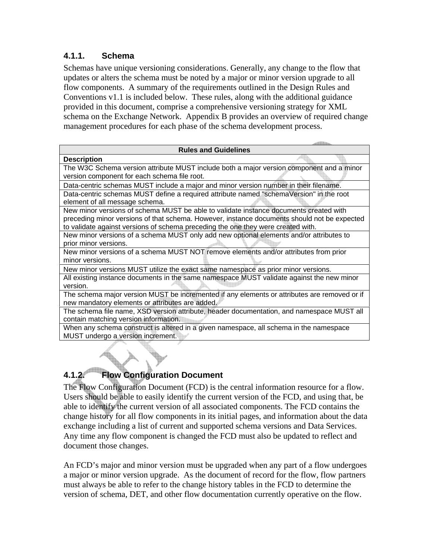#### **4.1.1. Schema**

Schemas have unique versioning considerations. Generally, any change to the flow that updates or alters the schema must be noted by a major or minor version upgrade to all flow components. A summary of the requirements outlined in the Design Rules and Conventions v1.1 is included below. These rules, along with the additional guidance provided in this document, comprise a comprehensive versioning strategy for XML schema on the Exchange Network. Appendix B provides an overview of required change management procedures for each phase of the schema development process.

| <b>Rules and Guidelines</b>                                                                  |  |
|----------------------------------------------------------------------------------------------|--|
| <b>Description</b>                                                                           |  |
| The W3C Schema version attribute MUST include both a major version component and a minor     |  |
| version component for each schema file root.                                                 |  |
| Data-centric schemas MUST include a major and minor version number in their filename.        |  |
| Data-centric schemas MUST define a required attribute named "schemaVersion" in the root      |  |
| element of all message schema.                                                               |  |
| New minor versions of schema MUST be able to validate instance documents created with        |  |
| preceding minor versions of that schema. However, instance documents should not be expected  |  |
| to validate against versions of schema preceding the one they were created with.             |  |
| New minor versions of a schema MUST only add new optional elements and/or attributes to      |  |
| prior minor versions.                                                                        |  |
| New minor versions of a schema MUST NOT remove elements and/or attributes from prior         |  |
| minor versions.                                                                              |  |
| New minor versions MUST utilize the exact same namespace as prior minor versions.            |  |
| All existing instance documents in the same namespace MUST validate against the new minor    |  |
| version.                                                                                     |  |
| The schema major version MUST be incremented if any elements or attributes are removed or if |  |
| new mandatory elements or attributes are added.                                              |  |
| The schema file name, XSD version attribute, header documentation, and namespace MUST all    |  |
| contain matching version information.                                                        |  |
| When any schema construct is altered in a given namespace, all schema in the namespace       |  |
| MUST undergo a version increment.                                                            |  |
|                                                                                              |  |

# **4.1.2. Flow Configuration Document**

The Flow Configuration Document (FCD) is the central information resource for a flow. Users should be able to easily identify the current version of the FCD, and using that, be able to identify the current version of all associated components. The FCD contains the change history for all flow components in its initial pages, and information about the data exchange including a list of current and supported schema versions and Data Services. Any time any flow component is changed the FCD must also be updated to reflect and document those changes.

An FCD's major and minor version must be upgraded when any part of a flow undergoes a major or minor version upgrade. As the document of record for the flow, flow partners must always be able to refer to the change history tables in the FCD to determine the version of schema, DET, and other flow documentation currently operative on the flow.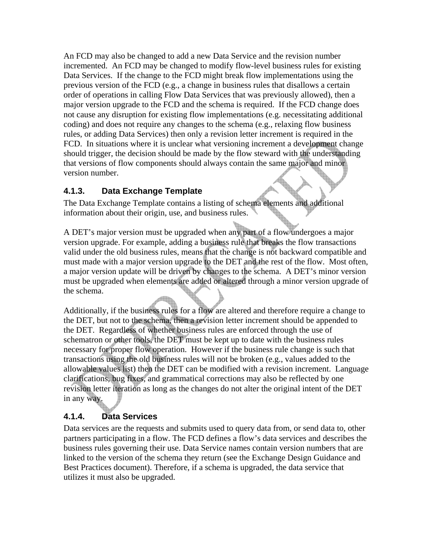An FCD may also be changed to add a new Data Service and the revision number incremented. An FCD may be changed to modify flow-level business rules for existing Data Services. If the change to the FCD might break flow implementations using the previous version of the FCD (e.g., a change in business rules that disallows a certain order of operations in calling Flow Data Services that was previously allowed), then a major version upgrade to the FCD and the schema is required. If the FCD change does not cause any disruption for existing flow implementations (e.g. necessitating additional coding) and does not require any changes to the schema (e.g., relaxing flow business rules, or adding Data Services) then only a revision letter increment is required in the FCD. In situations where it is unclear what versioning increment a development change should trigger, the decision should be made by the flow steward with the understanding that versions of flow components should always contain the same major and minor version number.

#### **4.1.3. Data Exchange Template**

The Data Exchange Template contains a listing of schema elements and additional information about their origin, use, and business rules.

A DET's major version must be upgraded when any part of a flow undergoes a major version upgrade. For example, adding a business rule that breaks the flow transactions valid under the old business rules, means that the change is not backward compatible and must made with a major version upgrade to the DET and the rest of the flow. Most often, a major version update will be driven by changes to the schema. A DET's minor version must be upgraded when elements are added or altered through a minor version upgrade of the schema.

Additionally, if the business rules for a flow are altered and therefore require a change to the DET, but not to the schema, then a revision letter increment should be appended to the DET. Regardless of whether business rules are enforced through the use of schematron or other tools, the DET must be kept up to date with the business rules necessary for proper flow operation. However if the business rule change is such that transactions using the old business rules will not be broken (e.g., values added to the allowable values list) then the DET can be modified with a revision increment. Language clarifications, bug fixes, and grammatical corrections may also be reflected by one revision letter iteration as long as the changes do not alter the original intent of the DET in any way.

#### **4.1.4. Data Services**

Data services are the requests and submits used to query data from, or send data to, other partners participating in a flow. The FCD defines a flow's data services and describes the business rules governing their use. Data Service names contain version numbers that are linked to the version of the schema they return (see the Exchange Design Guidance and Best Practices document). Therefore, if a schema is upgraded, the data service that utilizes it must also be upgraded.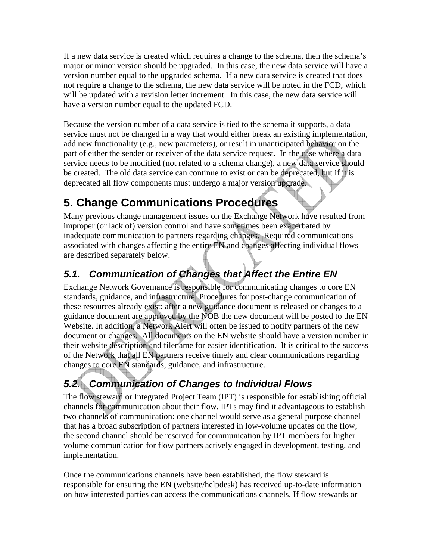<span id="page-11-0"></span>If a new data service is created which requires a change to the schema, then the schema's major or minor version should be upgraded. In this case, the new data service will have a version number equal to the upgraded schema. If a new data service is created that does not require a change to the schema, the new data service will be noted in the FCD, which will be updated with a revision letter increment. In this case, the new data service will have a version number equal to the updated FCD.

Because the version number of a data service is tied to the schema it supports, a data service must not be changed in a way that would either break an existing implementation, add new functionality (e.g., new parameters), or result in unanticipated behavior on the part of either the sender or receiver of the data service request. In the case where a data service needs to be modified (not related to a schema change), a new data service should be created. The old data service can continue to exist or can be deprecated, but if it is deprecated all flow components must undergo a major version upgrade.

# **5. Change Communications Procedures**

Many previous change management issues on the Exchange Network have resulted from improper (or lack of) version control and have sometimes been exacerbated by inadequate communication to partners regarding changes. Required communications associated with changes affecting the entire EN and changes affecting individual flows are described separately below.

# *5.1. Communication of Changes that Affect the Entire EN*

Exchange Network Governance is responsible for communicating changes to core EN standards, guidance, and infrastructure. Procedures for post-change communication of these resources already exist: after a new guidance document is released or changes to a guidance document are approved by the NOB the new document will be posted to the EN Website. In addition, a Network Alert will often be issued to notify partners of the new document or changes. All documents on the EN website should have a version number in their website description and filename for easier identification. It is critical to the success of the Network that all EN partners receive timely and clear communications regarding changes to core EN standards, guidance, and infrastructure.

# *5.2. Communication of Changes to Individual Flows*

The flow steward or Integrated Project Team (IPT) is responsible for establishing official channels for communication about their flow. IPTs may find it advantageous to establish two channels of communication: one channel would serve as a general purpose channel that has a broad subscription of partners interested in low-volume updates on the flow, the second channel should be reserved for communication by IPT members for higher volume communication for flow partners actively engaged in development, testing, and implementation.

Once the communications channels have been established, the flow steward is responsible for ensuring the EN (website/helpdesk) has received up-to-date information on how interested parties can access the communications channels. If flow stewards or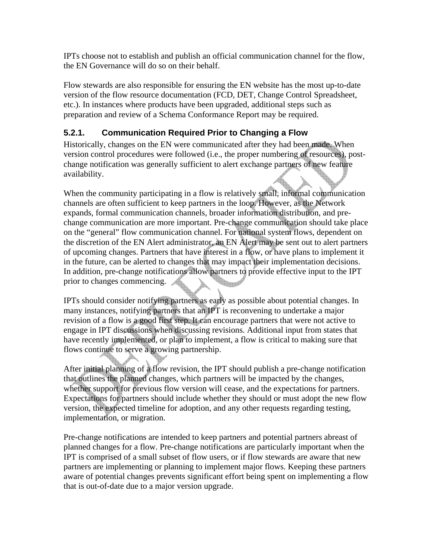IPTs choose not to establish and publish an official communication channel for the flow, the EN Governance will do so on their behalf.

Flow stewards are also responsible for ensuring the EN website has the most up-to-date version of the flow resource documentation (FCD, DET, Change Control Spreadsheet, etc.). In instances where products have been upgraded, additional steps such as preparation and review of a Schema Conformance Report may be required.

#### **5.2.1. Communication Required Prior to Changing a Flow**

Historically, changes on the EN were communicated after they had been made. When version control procedures were followed (i.e., the proper numbering of resources), postchange notification was generally sufficient to alert exchange partners of new feature availability.

When the community participating in a flow is relatively small, informal communication channels are often sufficient to keep partners in the loop. However, as the Network expands, formal communication channels, broader information distribution, and prechange communication are more important. Pre-change communication should take place on the "general" flow communication channel. For national system flows, dependent on the discretion of the EN Alert administrator, an EN Alert may be sent out to alert partners of upcoming changes. Partners that have interest in a flow, or have plans to implement it in the future, can be alerted to changes that may impact their implementation decisions. In addition, pre-change notifications allow partners to provide effective input to the IPT prior to changes commencing. **Report** 

IPTs should consider notifying partners as early as possible about potential changes. In many instances, notifying partners that an IPT is reconvening to undertake a major revision of a flow is a good first step. It can encourage partners that were not active to engage in IPT discussions when discussing revisions. Additional input from states that have recently implemented, or plan to implement, a flow is critical to making sure that flows continue to serve a growing partnership.

After initial planning of a flow revision, the IPT should publish a pre-change notification that outlines the planned changes, which partners will be impacted by the changes, whether support for previous flow version will cease, and the expectations for partners. Expectations for partners should include whether they should or must adopt the new flow version, the expected timeline for adoption, and any other requests regarding testing, implementation, or migration.

Pre-change notifications are intended to keep partners and potential partners abreast of planned changes for a flow. Pre-change notifications are particularly important when the IPT is comprised of a small subset of flow users, or if flow stewards are aware that new partners are implementing or planning to implement major flows. Keeping these partners aware of potential changes prevents significant effort being spent on implementing a flow that is out-of-date due to a major version upgrade.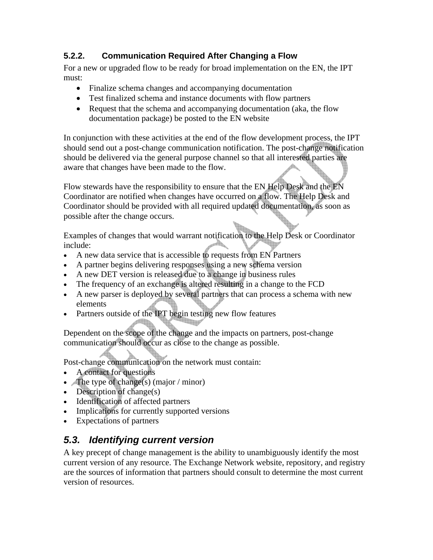#### **5.2.2. Communication Required After Changing a Flow**

For a new or upgraded flow to be ready for broad implementation on the EN, the IPT must:

- Finalize schema changes and accompanying documentation
- Test finalized schema and instance documents with flow partners
- Request that the schema and accompanying documentation (aka, the flow documentation package) be posted to the EN website

In conjunction with these activities at the end of the flow development process, the IPT should send out a post-change communication notification. The post-change notification should be delivered via the general purpose channel so that all interested parties are aware that changes have been made to the flow.

Flow stewards have the responsibility to ensure that the EN Help Desk and the EN Coordinator are notified when changes have occurred on a flow. The Help Desk and Coordinator should be provided with all required updated documentation, as soon as possible after the change occurs.

Examples of changes that would warrant notification to the Help Desk or Coordinator include:

- A new data service that is accessible to requests from EN Partners
- A partner begins delivering responses using a new schema version
- A new DET version is released due to a change in business rules
- The frequency of an exchange is altered resulting in a change to the FCD
- A new parser is deployed by several partners that can process a schema with new elements
- Partners outside of the IPT begin testing new flow features

Dependent on the scope of the change and the impacts on partners, post-change communication should occur as close to the change as possible.

Post-change communication on the network must contain:

- A contact for questions
- The type of change(s) (major / minor)
- Description of change(s)
- Identification of affected partners
- Implications for currently supported versions
- Expectations of partners

# *5.3. Identifying current version*

A key precept of change management is the ability to unambiguously identify the most current version of any resource. The Exchange Network website, repository, and registry are the sources of information that partners should consult to determine the most current version of resources.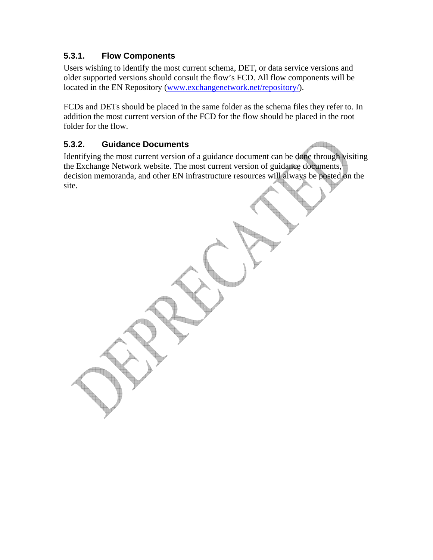#### **5.3.1. Flow Components**

Users wishing to identify the most current schema, DET, or data service versions and older supported versions should consult the flow's FCD. All flow components will be located in the EN Repository [\(www.exchangenetwork.net/repository/\)](http://www.exchangenetwork.net/repository/).

FCDs and DETs should be placed in the same folder as the schema files they refer to. In addition the most current version of the FCD for the flow should be placed in the root folder for the flow.

#### **5.3.2. Guidance Documents**

Identifying the most current version of a guidance document can be done through visiting the Exchange Network website. The most current version of guidance documents, decision memoranda, and other EN infrastructure resources will always be posted on the site.